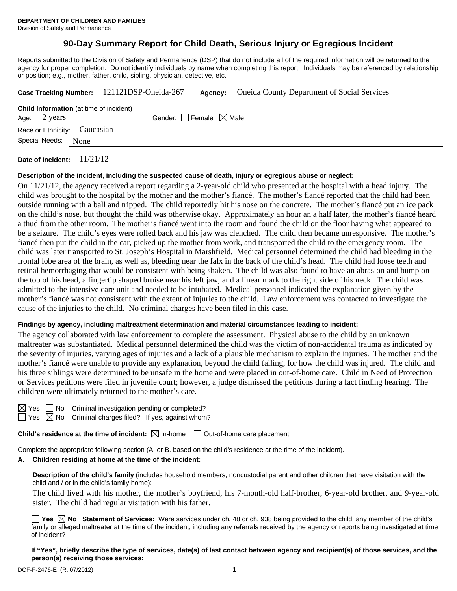# **90-Day Summary Report for Child Death, Serious Injury or Egregious Incident**

Reports submitted to the Division of Safety and Permanence (DSP) that do not include all of the required information will be returned to the agency for proper completion. Do not identify individuals by name when completing this report. Individuals may be referenced by relationship or position; e.g., mother, father, child, sibling, physician, detective, etc.

|                                         | Case Tracking Number: 121121DSP-Oneida-267 | Agency: | <b>Oneida County Department of Social Services</b> |  |
|-----------------------------------------|--------------------------------------------|---------|----------------------------------------------------|--|
| Child Information (at time of incident) |                                            |         |                                                    |  |
| Age: 2 years                            | Gender: Female $\boxtimes$ Male            |         |                                                    |  |
| Race or Ethnicity: Caucasian            |                                            |         |                                                    |  |
| Special Needs: None                     |                                            |         |                                                    |  |
|                                         |                                            |         |                                                    |  |

**Date of Incident:** 11/21/12

#### **Description of the incident, including the suspected cause of death, injury or egregious abuse or neglect:**

On 11/21/12, the agency received a report regarding a 2-year-old child who presented at the hospital with a head injury. The child was brought to the hospital by the mother and the mother's fiancé. The mother's fiancé reported that the child had been outside running with a ball and tripped. The child reportedly hit his nose on the concrete. The mother's fiancé put an ice pack on the child's nose, but thought the child was otherwise okay. Approximately an hour an a half later, the mother's fiancé heard a thud from the other room. The mother's fiancé went into the room and found the child on the floor having what appeared to be a seizure. The child's eyes were rolled back and his jaw was clenched. The child then became unresponsive. The mother's fiancé then put the child in the car, picked up the mother from work, and transported the child to the emergency room. The child was later transported to St. Joseph's Hospital in Marshfield. Medical personnel determined the child had bleeding in the frontal lobe area of the brain, as well as, bleeding near the falx in the back of the child's head. The child had loose teeth and retinal hemorrhaging that would be consistent with being shaken. The child was also found to have an abrasion and bump on the top of his head, a fingertip shaped bruise near his left jaw, and a linear mark to the right side of his neck. The child was admitted to the intensive care unit and needed to be intubated. Medical personnel indicated the explanation given by the mother's fiancé was not consistent with the extent of injuries to the child. Law enforcement was contacted to investigate the cause of the injuries to the child. No criminal charges have been filed in this case.

#### **Findings by agency, including maltreatment determination and material circumstances leading to incident:**

The agency collaborated with law enforcement to complete the assessment. Physical abuse to the child by an unknown maltreater was substantiated. Medical personnel determined the child was the victim of non-accidental trauma as indicated by the severity of injuries, varying ages of injuries and a lack of a plausible mechanism to explain the injuries. The mother and the mother's fiancé were unable to provide any explanation, beyond the child falling, for how the child was injured. The child and his three siblings were determined to be unsafe in the home and were placed in out-of-home care. Child in Need of Protection or Services petitions were filed in juvenile court; however, a judge dismissed the petitions during a fact finding hearing. The children were ultimately returned to the mother's care.

| ٧ |  |
|---|--|
|   |  |

 $\Box$  No Criminal investigation pending or completed?  $\Box$  Yes  $\boxtimes$  No Criminal charges filed? If yes, against whom?

**Child's residence at the time of incident:**  $\boxtimes$  In-home  $\Box$  Out-of-home care placement

Complete the appropriate following section (A. or B. based on the child's residence at the time of the incident).

#### **A. Children residing at home at the time of the incident:**

**Description of the child's family** (includes household members, noncustodial parent and other children that have visitation with the child and / or in the child's family home):

 The child lived with his mother, the mother's boyfriend, his 7-month-old half-brother, 6-year-old brother, and 9-year-old sister. The child had regular visitation with his father.

**Yes No Statement of Services:** Were services under ch. 48 or ch. 938 being provided to the child, any member of the child's family or alleged maltreater at the time of the incident, including any referrals received by the agency or reports being investigated at time of incident?

**If "Yes", briefly describe the type of services, date(s) of last contact between agency and recipient(s) of those services, and the person(s) receiving those services:**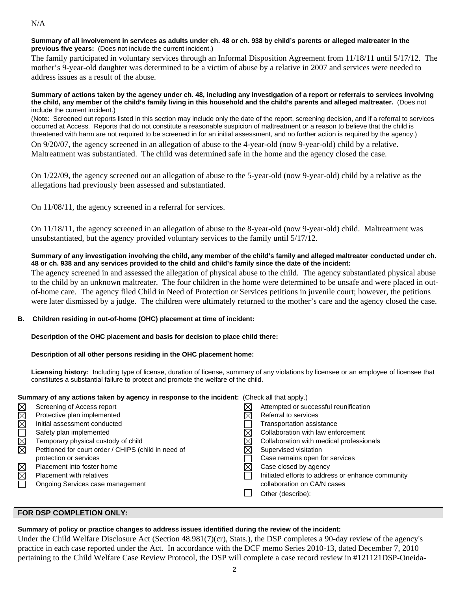### N/A

#### **Summary of all involvement in services as adults under ch. 48 or ch. 938 by child's parents or alleged maltreater in the previous five years:** (Does not include the current incident.)

The family participated in voluntary services through an Informal Disposition Agreement from 11/18/11 until 5/17/12. The mother's 9-year-old daughter was determined to be a victim of abuse by a relative in 2007 and services were needed to address issues as a result of the abuse.

#### **Summary of actions taken by the agency under ch. 48, including any investigation of a report or referrals to services involving the child, any member of the child's family living in this household and the child's parents and alleged maltreater.** (Does not include the current incident.)

(Note: Screened out reports listed in this section may include only the date of the report, screening decision, and if a referral to services occurred at Access. Reports that do not constitute a reasonable suspicion of maltreatment or a reason to believe that the child is threatened with harm are not required to be screened in for an initial assessment, and no further action is required by the agency.)

On 9/20/07, the agency screened in an allegation of abuse to the 4-year-old (now 9-year-old) child by a relative. Maltreatment was substantiated. The child was determined safe in the home and the agency closed the case.

On 1/22/09, the agency screened out an allegation of abuse to the 5-year-old (now 9-year-old) child by a relative as the allegations had previously been assessed and substantiated.

On 11/08/11, the agency screened in a referral for services.

On 11/18/11, the agency screened in an allegation of abuse to the 8-year-old (now 9-year-old) child. Maltreatment was unsubstantiated, but the agency provided voluntary services to the family until 5/17/12.

### **Summary of any investigation involving the child, any member of the child's family and alleged maltreater conducted under ch. 48 or ch. 938 and any services provided to the child and child's family since the date of the incident:**

The agency screened in and assessed the allegation of physical abuse to the child. The agency substantiated physical abuse to the child by an unknown maltreater. The four children in the home were determined to be unsafe and were placed in outof-home care. The agency filed Child in Need of Protection or Services petitions in juvenile court; however, the petitions were later dismissed by a judge. The children were ultimately returned to the mother's care and the agency closed the case.

# **B. Children residing in out-of-home (OHC) placement at time of incident:**

# **Description of the OHC placement and basis for decision to place child there:**

# **Description of all other persons residing in the OHC placement home:**

**Licensing history:** Including type of license, duration of license, summary of any violations by licensee or an employee of licensee that constitutes a substantial failure to protect and promote the welfare of the child.

| Summary of any actions taken by agency in response to the incident: (Check all that apply.) |                                                      |  |                                                   |  |  |
|---------------------------------------------------------------------------------------------|------------------------------------------------------|--|---------------------------------------------------|--|--|
|                                                                                             | Screening of Access report                           |  | Attempted or successful reunification             |  |  |
|                                                                                             | Protective plan implemented                          |  | Referral to services                              |  |  |
| KKK                                                                                         | Initial assessment conducted                         |  | Transportation assistance                         |  |  |
|                                                                                             | Safety plan implemented                              |  | Collaboration with law enforcement                |  |  |
| N<br>E                                                                                      | Temporary physical custody of child                  |  | Collaboration with medical professionals          |  |  |
|                                                                                             | Petitioned for court order / CHIPS (child in need of |  | Supervised visitation                             |  |  |
|                                                                                             | protection or services                               |  | Case remains open for services                    |  |  |
|                                                                                             | Placement into foster home                           |  | Case closed by agency                             |  |  |
| $\Box \boxtimes \boxtimes$                                                                  | Placement with relatives                             |  | Initiated efforts to address or enhance community |  |  |
|                                                                                             | Ongoing Services case management                     |  | collaboration on CA/N cases                       |  |  |
|                                                                                             |                                                      |  | Other (describe):                                 |  |  |

# **FOR DSP COMPLETION ONLY:**

# **Summary of policy or practice changes to address issues identified during the review of the incident:**

Under the Child Welfare Disclosure Act (Section 48.981(7)(cr), Stats.), the DSP completes a 90-day review of the agency's practice in each case reported under the Act. In accordance with the DCF memo Series 2010-13, dated December 7, 2010 pertaining to the Child Welfare Case Review Protocol, the DSP will complete a case record review in #121121DSP-Oneida